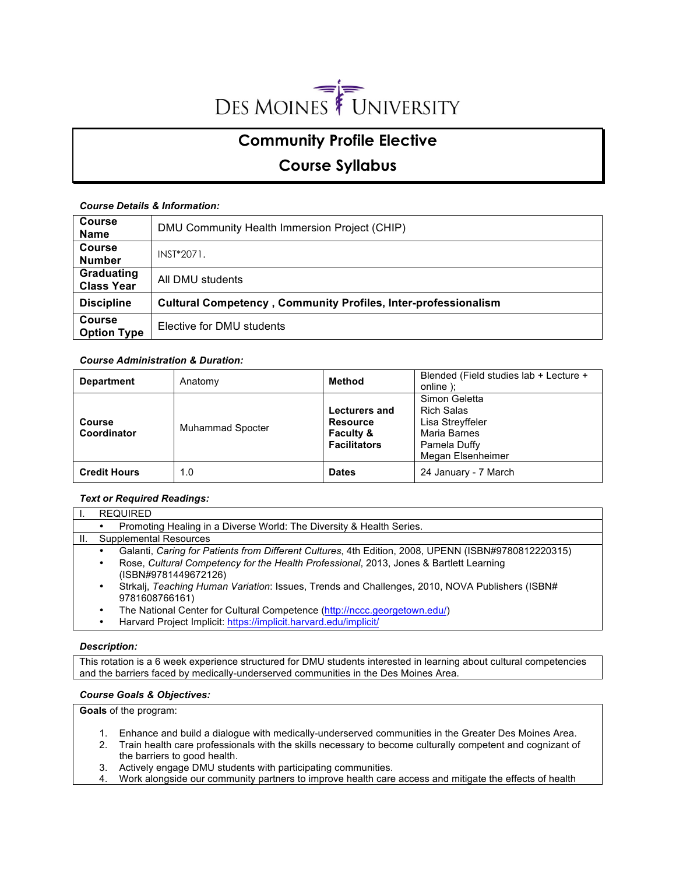

# **Community Profile Elective**

# **Course Syllabus**

# *Course Details & Information:*

| <b>Course</b><br><b>Name</b>        | DMU Community Health Immersion Project (CHIP)                         |
|-------------------------------------|-----------------------------------------------------------------------|
| <b>Course</b><br><b>Number</b>      | INST*2071.                                                            |
| Graduating<br><b>Class Year</b>     | All DMU students                                                      |
| <b>Discipline</b>                   | <b>Cultural Competency, Community Profiles, Inter-professionalism</b> |
| <b>Course</b><br><b>Option Type</b> | Elective for DMU students                                             |

# *Course Administration & Duration:*

| <b>Department</b>            | Anatomy                 | Method                                                                                 | Blended (Field studies lab + Lecture +<br>online :                                                   |
|------------------------------|-------------------------|----------------------------------------------------------------------------------------|------------------------------------------------------------------------------------------------------|
| <b>Course</b><br>Coordinator | <b>Muhammad Spocter</b> | <b>Lecturers and</b><br><b>Resource</b><br><b>Faculty &amp;</b><br><b>Facilitators</b> | Simon Geletta<br>Rich Salas<br>Lisa Streyffeler<br>Maria Barnes<br>Pamela Duffy<br>Megan Elsenheimer |
| <b>Credit Hours</b>          | 1.0                     | <b>Dates</b>                                                                           | 24 January - 7 March                                                                                 |

# *Text or Required Readings:*

| <b>REQUIRED</b>                                                                                                                                                                                                       |  |  |
|-----------------------------------------------------------------------------------------------------------------------------------------------------------------------------------------------------------------------|--|--|
| Promoting Healing in a Diverse World: The Diversity & Health Series.                                                                                                                                                  |  |  |
| Supplemental Resources                                                                                                                                                                                                |  |  |
| Galanti, Caring for Patients from Different Cultures, 4th Edition, 2008, UPENN (ISBN#9780812220315)<br>Rose, Cultural Competency for the Health Professional, 2013, Jones & Bartlett Learning<br>(ISBN#9781449672126) |  |  |
| Strkalj, Teaching Human Variation: Issues, Trends and Challenges, 2010, NOVA Publishers (ISBN#<br>9781608766161)                                                                                                      |  |  |
| The National Center for Cultural Competence (http://nccc.georgetown.edu/)                                                                                                                                             |  |  |
| Harvard Project Implicit: https://implicit.harvard.edu/implicit/                                                                                                                                                      |  |  |

# *Description:*

This rotation is a 6 week experience structured for DMU students interested in learning about cultural competencies and the barriers faced by medically-underserved communities in the Des Moines Area.

# *Course Goals & Objectives:*

**Goals** of the program:

- 1. Enhance and build a dialogue with medically-underserved communities in the Greater Des Moines Area.
- 2. Train health care professionals with the skills necessary to become culturally competent and cognizant of the barriers to good health.
- 3. Actively engage DMU students with participating communities.
- 4. Work alongside our community partners to improve health care access and mitigate the effects of health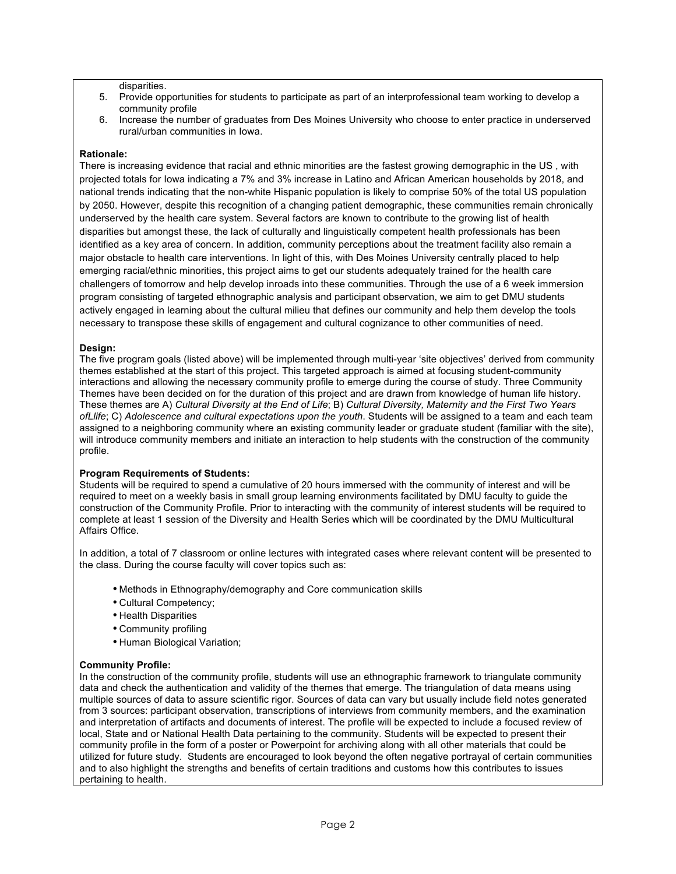disparities.

- 5. Provide opportunities for students to participate as part of an interprofessional team working to develop a community profile
- 6. Increase the number of graduates from Des Moines University who choose to enter practice in underserved rural/urban communities in Iowa.

#### **Rationale:**

There is increasing evidence that racial and ethnic minorities are the fastest growing demographic in the US , with projected totals for Iowa indicating a 7% and 3% increase in Latino and African American households by 2018, and national trends indicating that the non-white Hispanic population is likely to comprise 50% of the total US population by 2050. However, despite this recognition of a changing patient demographic, these communities remain chronically underserved by the health care system. Several factors are known to contribute to the growing list of health disparities but amongst these, the lack of culturally and linguistically competent health professionals has been identified as a key area of concern. In addition, community perceptions about the treatment facility also remain a major obstacle to health care interventions. In light of this, with Des Moines University centrally placed to help emerging racial/ethnic minorities, this project aims to get our students adequately trained for the health care challengers of tomorrow and help develop inroads into these communities. Through the use of a 6 week immersion program consisting of targeted ethnographic analysis and participant observation, we aim to get DMU students actively engaged in learning about the cultural milieu that defines our community and help them develop the tools necessary to transpose these skills of engagement and cultural cognizance to other communities of need.

#### **Design:**

The five program goals (listed above) will be implemented through multi-year 'site objectives' derived from community themes established at the start of this project. This targeted approach is aimed at focusing student-community interactions and allowing the necessary community profile to emerge during the course of study. Three Community Themes have been decided on for the duration of this project and are drawn from knowledge of human life history. These themes are A) *Cultural Diversity at the End of Life*; B) *Cultural Diversity, Maternity and the First Two Years ofLlife*; C) *Adolescence and cultural expectations upon the youth*. Students will be assigned to a team and each team assigned to a neighboring community where an existing community leader or graduate student (familiar with the site), will introduce community members and initiate an interaction to help students with the construction of the community profile.

## **Program Requirements of Students:**

Students will be required to spend a cumulative of 20 hours immersed with the community of interest and will be required to meet on a weekly basis in small group learning environments facilitated by DMU faculty to guide the construction of the Community Profile. Prior to interacting with the community of interest students will be required to complete at least 1 session of the Diversity and Health Series which will be coordinated by the DMU Multicultural Affairs Office.

In addition, a total of 7 classroom or online lectures with integrated cases where relevant content will be presented to the class. During the course faculty will cover topics such as:

- Methods in Ethnography/demography and Core communication skills
- Cultural Competency;
- Health Disparities
- Community profiling
- Human Biological Variation;

#### **Community Profile:**

In the construction of the community profile, students will use an ethnographic framework to triangulate community data and check the authentication and validity of the themes that emerge. The triangulation of data means using multiple sources of data to assure scientific rigor. Sources of data can vary but usually include field notes generated from 3 sources: participant observation, transcriptions of interviews from community members, and the examination and interpretation of artifacts and documents of interest. The profile will be expected to include a focused review of local, State and or National Health Data pertaining to the community. Students will be expected to present their community profile in the form of a poster or Powerpoint for archiving along with all other materials that could be utilized for future study. Students are encouraged to look beyond the often negative portrayal of certain communities and to also highlight the strengths and benefits of certain traditions and customs how this contributes to issues pertaining to health.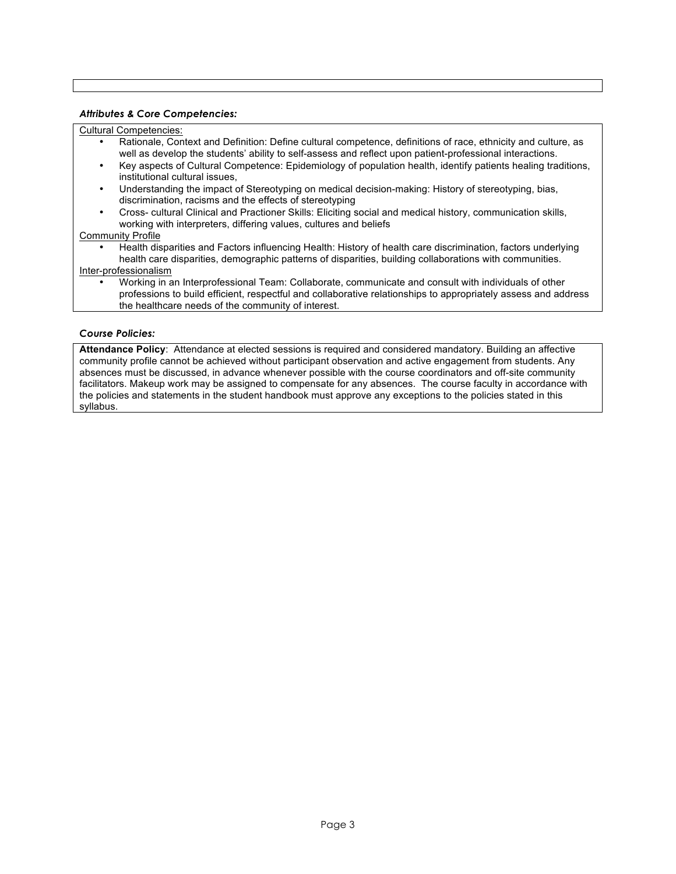#### *Attributes & Core Competencies:*

#### Cultural Competencies:

- Rationale, Context and Definition: Define cultural competence, definitions of race, ethnicity and culture, as well as develop the students' ability to self-assess and reflect upon patient-professional interactions.
- Key aspects of Cultural Competence: Epidemiology of population health, identify patients healing traditions, institutional cultural issues,
- Understanding the impact of Stereotyping on medical decision-making: History of stereotyping, bias, discrimination, racisms and the effects of stereotyping
- Cross- cultural Clinical and Practioner Skills: Eliciting social and medical history, communication skills, working with interpreters, differing values, cultures and beliefs

#### Community Profile

- Health disparities and Factors influencing Health: History of health care discrimination, factors underlying health care disparities, demographic patterns of disparities, building collaborations with communities. Inter-professionalism
	- Working in an Interprofessional Team: Collaborate, communicate and consult with individuals of other professions to build efficient, respectful and collaborative relationships to appropriately assess and address the healthcare needs of the community of interest.

## *Course Policies:*

**Attendance Policy**: Attendance at elected sessions is required and considered mandatory. Building an affective community profile cannot be achieved without participant observation and active engagement from students. Any absences must be discussed, in advance whenever possible with the course coordinators and off-site community facilitators. Makeup work may be assigned to compensate for any absences. The course faculty in accordance with the policies and statements in the student handbook must approve any exceptions to the policies stated in this syllabus.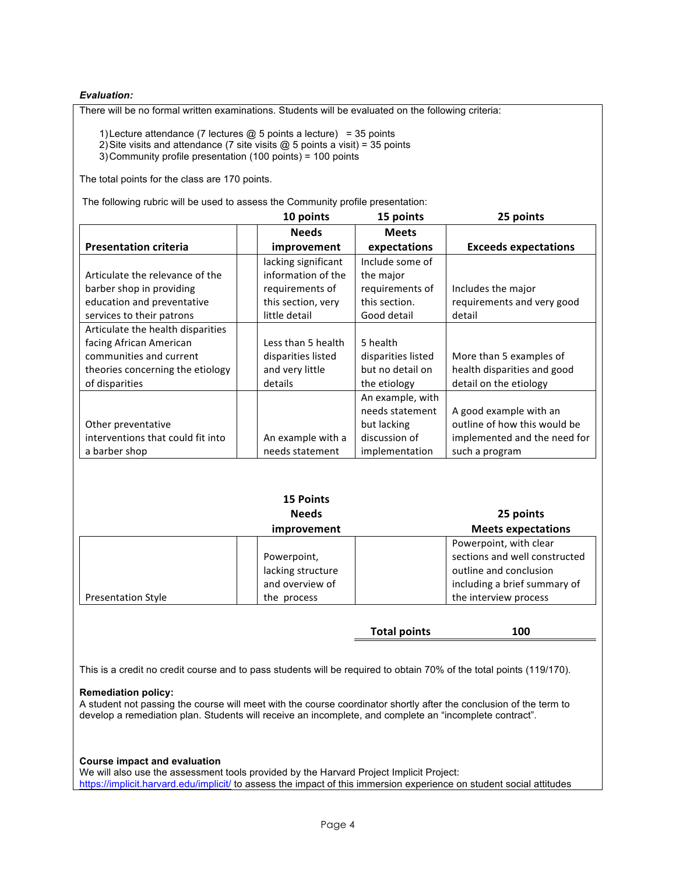## *Evaluation:*

There will be no formal written examinations. Students will be evaluated on the following criteria:

1) Lecture attendance (7 lectures  $@$  5 points a lecture) = 35 points

2) Site visits and attendance (7 site visits  $@$  5 points a visit) = 35 points 3)Community profile presentation (100 points) = 100 points

The total points for the class are 170 points.

The following rubric will be used to assess the Community profile presentation:

|                                   | 10 points           | 15 points          | 25 points                    |
|-----------------------------------|---------------------|--------------------|------------------------------|
|                                   | <b>Needs</b>        | <b>Meets</b>       |                              |
| <b>Presentation criteria</b>      | improvement         | expectations       | <b>Exceeds expectations</b>  |
|                                   | lacking significant | Include some of    |                              |
| Articulate the relevance of the   | information of the  | the major          |                              |
| barber shop in providing          | requirements of     | requirements of    | Includes the major           |
| education and preventative        | this section, very  | this section.      | requirements and very good   |
| services to their patrons         | little detail       | Good detail        | detail                       |
| Articulate the health disparities |                     |                    |                              |
| facing African American           | Less than 5 health  | 5 health           |                              |
| communities and current           | disparities listed  | disparities listed | More than 5 examples of      |
| theories concerning the etiology  | and very little     | but no detail on   | health disparities and good  |
| of disparities                    | details             | the etiology       | detail on the etiology       |
|                                   |                     | An example, with   |                              |
|                                   |                     | needs statement    | A good example with an       |
| Other preventative                |                     | but lacking        | outline of how this would be |
| interventions that could fit into | An example with a   | discussion of      | implemented and the need for |
| a barber shop                     | needs statement     | implementation     | such a program               |

|                           | <b>15 Points</b><br><b>Needs</b><br>improvement                    | 25 points<br><b>Meets expectations</b>                                                                                                     |
|---------------------------|--------------------------------------------------------------------|--------------------------------------------------------------------------------------------------------------------------------------------|
| <b>Presentation Style</b> | Powerpoint,<br>lacking structure<br>and overview of<br>the process | Powerpoint, with clear<br>sections and well constructed<br>outline and conclusion<br>including a brief summary of<br>the interview process |

**Total points 100**

This is a credit no credit course and to pass students will be required to obtain 70% of the total points (119/170).

#### **Remediation policy:**

A student not passing the course will meet with the course coordinator shortly after the conclusion of the term to develop a remediation plan. Students will receive an incomplete, and complete an "incomplete contract".

#### **Course impact and evaluation**

We will also use the assessment tools provided by the Harvard Project Implicit Project: https://implicit.harvard.edu/implicit/ to assess the impact of this immersion experience on student social attitudes